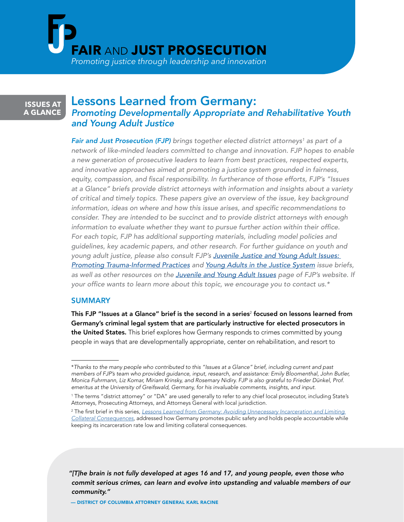

# **ISSUES AT A GLANCE**

# Lessons Learned from Germany: *Promoting Developmentally Appropriate and Rehabilitative Youth and Young Adult Justice*

**Fair and Just Prosecution (FJP)** brings together elected district attorneys<sup>1</sup> as part of a *network of like-minded leaders committed to change and innovation. FJP hopes to enable a new generation of prosecutive leaders to learn from best practices, respected experts, and innovative approaches aimed at promoting a justice system grounded in fairness,*  equity, compassion, and fiscal responsibility. In furtherance of those efforts, FJP's "Issues *at a Glance" briefs provide district attorneys with information and insights about a variety of critical and timely topics. These papers give an overview of the issue, key background*  information, ideas on where and how this issue arises, and specific recommendations to *consider. They are intended to be succinct and to provide district attorneys with enough*  information to evaluate whether they want to pursue further action within their office. *For each topic, FJP has additional supporting materials, including model policies and guidelines, key academic papers, and other research. For further guidance on youth and*  young adult justice, please also consult FJP's Juvenile Justice and Young Adult Issues: [Promoting Trauma-Informed Practices](https://fairandjustprosecution.org/wp-content/uploads/2017/09/FJPBrief.TraumaPractices.9.25.pdf) *and [Young Adults in the Justice System](https://fairandjustprosecution.org/wp-content/uploads/2019/01/FJP_Brief_YoungAdults.pdf) issue briefs, as well as other resources on the* [Juvenile and Young Adult Issues](https://fairandjustprosecution.org/issues/juvenile-and-young-adult-issues/) page of FJP's website. If your office wants to learn more about this topic, we encourage you to contact us.\*

### **SUMMARY**

This FJP "Issues at a Glance" brief is the second in a series $^{\scriptscriptstyle 2}$  focused on lessons learned from Germany's criminal legal system that are particularly instructive for elected prosecutors in the United States. This brief explores how Germany responds to crimes committed by young people in ways that are developmentally appropriate, center on rehabilitation, and resort to

*"[T]he brain is not fully developed at ages 16 and 17, and young people, even those who commit serious crimes, can learn and evolve into upstanding and valuable members of our community."* 

— DISTRICT OF COLUMBIA ATTORNEY GENERAL KARL RACINE

<sup>\*</sup>*Thanks to the many people who contributed to this "Issues at a Glance" brief, including current and past members of FJP's team who provided guidance, input, research, and assistance: Emily Bloomenthal, John Butler, Monica Fuhrmann, Liz Komar, Miriam Krinsky, and Rosemary Nidiry. FJP is also grateful to Frieder Dünkel, Prof. emeritus at the University of Greifswald, Germany, for his invaluable comments, insights, and input.*

<sup>1</sup> The terms "district attorney" or "DA" are used generally to refer to any chief local prosecutor, including State's Attorneys, Prosecuting Attorneys, and Attorneys General with local jurisdiction.

<sup>2</sup> The first brief in this series, *[Lessons Learned from Germany: Avoiding Unnecessary Incarceration and Limiting](https://www.fairandjustprosecution.org/staging/wp-content/uploads/2020/04/FJP_Brief_GermanIncarceration.pdf)  [Collateral Consequences](https://www.fairandjustprosecution.org/staging/wp-content/uploads/2020/04/FJP_Brief_GermanIncarceration.pdf)*, addressed how Germany promotes public safety and holds people accountable while keeping its incarceration rate low and limiting collateral consequences.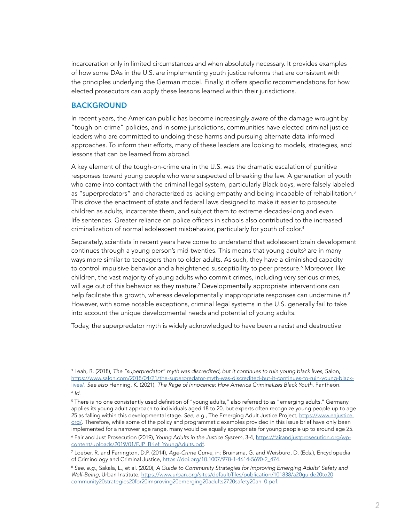<span id="page-1-0"></span>incarceration only in limited circumstances and when absolutely necessary. It provides examples of how some DAs in the U.S. are implementing youth justice reforms that are consistent with the principles underlying the German model. Finally, it offers specific recommendations for how elected prosecutors can apply these lessons learned within their jurisdictions.

### BACKGROUND

In recent years, the American public has become increasingly aware of the damage wrought by "tough-on-crime" policies, and in some jurisdictions, communities have elected criminal justice leaders who are committed to undoing these harms and pursuing alternate data-informed approaches. To inform their efforts, many of these leaders are looking to models, strategies, and lessons that can be learned from abroad.

A key element of the tough-on-crime era in the U.S. was the dramatic escalation of punitive responses toward young people who were suspected of breaking the law. A generation of youth who came into contact with the criminal legal system, particularly Black boys, were falsely labeled as "superpredators" and characterized as lacking empathy and being incapable of rehabilitation.<sup>3</sup> This drove the enactment of state and federal laws designed to make it easier to prosecute children as adults, incarcerate them, and subject them to extreme decades-long and even life sentences. Greater reliance on police officers in schools also contributed to the increased criminalization of normal adolescent misbehavior, particularly for youth of color.<sup>4</sup>

Separately, scientists in recent years have come to understand that adolescent brain development continues through a young person's mid-twenties. This means that young adults<sup>5</sup> are in many ways more similar to teenagers than to older adults. As such, they have a diminished capacity to control impulsive behavior and a heightened susceptibility to peer pressure.6 Moreover, like children, the vast majority of young adults who commit crimes, including very serious crimes, will age out of this behavior as they mature.7 Developmentally appropriate interventions can help facilitate this growth, whereas developmentally inappropriate responses can undermine it.<sup>8</sup> However, with some notable exceptions, criminal legal systems in the U.S. generally fail to take into account the unique developmental needs and potential of young adults.

Today, the superpredator myth is widely acknowledged to have been a racist and destructive

<sup>3</sup> Leah, R. (2018), *The "superpredator" myth was discredited, but it continues to ruin young black lives*, Salon, [https://www.salon.com/2018/04/21/the-superpredator-myth-was-discredited-but-it-continues-to-ruin-young-black](https://www.salon.com/2018/04/21/the-superpredator-myth-was-discredited-but-it-continues-to-ruin-young-black-lives/)[lives/.](https://www.salon.com/2018/04/21/the-superpredator-myth-was-discredited-but-it-continues-to-ruin-young-black-lives/) *See also* Henning, K. (2021), *The Rage of Innocence: How America Criminalizes Black Youth*, Pantheon. <sup>4</sup> *Id.*

 $^{\rm 5}$  There is no one consistently used definition of "young adults," also referred to as "emerging adults." Germany applies its young adult approach to individuals aged 18 to 20, but experts often recognize young people up to age 25 as falling within this developmental stage. *See, e.g.*, The Emerging Adult Justice Project, [https://www.eajustice.](https://www.eajustice.org/) [org/](https://www.eajustice.org/). Therefore, while some of the policy and programmatic examples provided in this issue brief have only been implemented for a narrower age range, many would be equally appropriate for young people up to around age 25. 6 Fair and Just Prosecution (2019), *Young Adults in the Justice System*, 3-4, [https://fairandjustprosecution.org/wp](https://fairandjustprosecution.org/wp-content/uploads/2019/01/FJP_Brief_YoungAdults.pdf)[content/uploads/2019/01/FJP\\_Brief\\_YoungAdults.pdf](https://fairandjustprosecution.org/wp-content/uploads/2019/01/FJP_Brief_YoungAdults.pdf).

<sup>7</sup> Loeber, R. and Farrington, D.P. (2014), *Age-Crime Curve*, in: Bruinsma, G. and Weisburd, D. (Eds.), Encyclopedia of Criminology and Criminal Justice, [https://doi.org/10.1007/978-1-4614-5690-2\\_474](https://doi.org/10.1007/978-1-4614-5690-2_474).

<sup>8</sup> *See, e.g.*, Sakala, L., et al. (2020), *A Guide to Community Strategies for Improving Emerging Adults' Safety and Well-Being*, Urban Institute, [https://www.urban.org/sites/default/files/publication/101838/a20guide20to20](https://www.urban.org/sites/default/files/publication/101838/a20guide20to20community20strategies20for20improving20emerging20adults2720safety20an_0.pdf) [community20strategies20for20improving20emerging20adults2720safety20an\\_0.pdf](https://www.urban.org/sites/default/files/publication/101838/a20guide20to20community20strategies20for20improving20emerging20adults2720safety20an_0.pdf).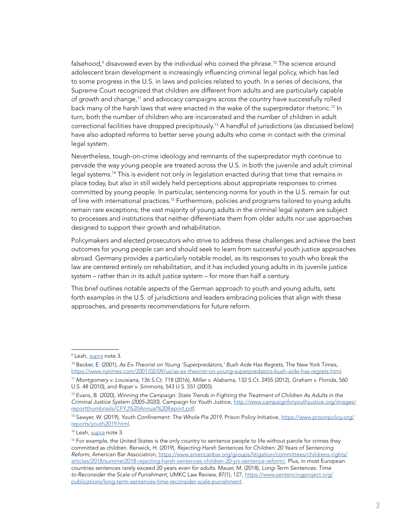falsehood, $^{\circ}$  disavowed even by the individual who coined the phrase. $^{10}$  The science around adolescent brain development is increasingly influencing criminal legal policy, which has led to some progress in the U.S. in laws and policies related to youth. In a series of decisions, the Supreme Court recognized that children are different from adults and are particularly capable of growth and change,11 and advocacy campaigns across the country have successfully rolled back many of the harsh laws that were enacted in the wake of the superpredator rhetoric.<sup>12</sup> In turn, both the number of children who are incarcerated and the number of children in adult correctional facilities have dropped precipitously.13 A handful of jurisdictions (as discussed below) have also adopted reforms to better serve young adults who come in contact with the criminal legal system.

Nevertheless, tough-on-crime ideology and remnants of the superpredator myth continue to pervade the way young people are treated across the U.S. in both the juvenile and adult criminal legal systems.<sup>14</sup> This is evident not only in legislation enacted during that time that remains in place today, but also in still widely held perceptions about appropriate responses to crimes committed by young people. In particular, sentencing norms for youth in the U.S. remain far out of line with international practices.15 Furthermore, policies and programs tailored to young adults remain rare exceptions; the vast majority of young adults in the criminal legal system are subject to processes and institutions that neither differentiate them from older adults nor use approaches designed to support their growth and rehabilitation.

Policymakers and elected prosecutors who strive to address these challenges and achieve the best outcomes for young people can and should seek to learn from successful youth justice approaches abroad. Germany provides a particularly notable model, as its responses to youth who break the law are centered entirely on rehabilitation, and it has included young adults in its juvenile justice system – rather than in its adult justice system – for more than half a century.

This brief outlines notable aspects of the German approach to youth and young adults, sets forth examples in the U.S. of jurisdictions and leaders embracing policies that align with these approaches, and presents recommendations for future reform.

10 Becker, E. (2001), *As Ex-Theorist on Young 'Superpredators,' Bush Aide Has Regrets*, The New York Times, <https://www.nytimes.com/2001/02/09/us/as-ex-theorist-on-young-superpredators-bush-aide-has-regrets.html>.

<sup>9</sup> Leah, *[supra](#page-1-0)* note 3.

<sup>11</sup> *Montgomery v. Louisiana*, 136 S.Ct. 718 (2016), *Miller v. Alabama*, 132 S.Ct. 2455 (2012), *Graham v. Florida*, 560 U.S. 48 (2010), and *Roper v. Simmons*, 543 U.S. 551 (2005).

<sup>12</sup> Evans, B. (2020), *Winning the Campaign: State Trends in Fighting the Treatment of Children As Adults in the Criminal Justice System (2005-2020)*, Campaign for Youth Justice, [http://www.campaignforyouthjustice.org/images/](http://www.campaignforyouthjustice.org/images/reportthumbnails/CFYJ%20Annual%20Report.pdf) [reportthumbnails/CFYJ%20Annual%20Report.pdf](http://www.campaignforyouthjustice.org/images/reportthumbnails/CFYJ%20Annual%20Report.pdf).

<sup>&</sup>lt;sup>13</sup> Sawyer, W. (2019), Youth Confinement: The Whole Pie 2019, Prison Policy Initiative, [https://www.prisonpolicy.org/](https://www.prisonpolicy.org/reports/youth2019.html) [reports/youth2019.html](https://www.prisonpolicy.org/reports/youth2019.html).

<sup>14</sup> Leah, *[supra](#page-1-0)* note 3.

<sup>&</sup>lt;sup>15</sup> For example, the United States is the only country to sentence people to life without parole for crimes they committed as children. Renwick, H. (2019), *Rejecting Harsh Sentences for Children: 20 Years of Sentencing Reform*, American Bar Association, [https://www.americanbar.org/groups/litigation/committees/childrens-rights/](https://www.americanbar.org/groups/litigation/committees/childrens-rights/articles/2018/summer2018-rejecting-harsh-sentences-children-20-yrs-sentence-reform/) [articles/2018/summer2018-rejecting-harsh-sentences-children-20-yrs-sentence-reform/](https://www.americanbar.org/groups/litigation/committees/childrens-rights/articles/2018/summer2018-rejecting-harsh-sentences-children-20-yrs-sentence-reform/). Plus, in most European countries sentences rarely exceed 20 years *even for adults*. Mauer, M. (2018), *Long-Term Sentences: Time to Reconsider the Scale of Punishment*, UMKC Law Review, 87(1), 127, [https://www.sentencingproject.org/](https://www.sentencingproject.org/publications/long-term-sentences-time-reconsider-scale-punishment) [publications/long-term-sentences-time-reconsider-scale-punishment](https://www.sentencingproject.org/publications/long-term-sentences-time-reconsider-scale-punishment).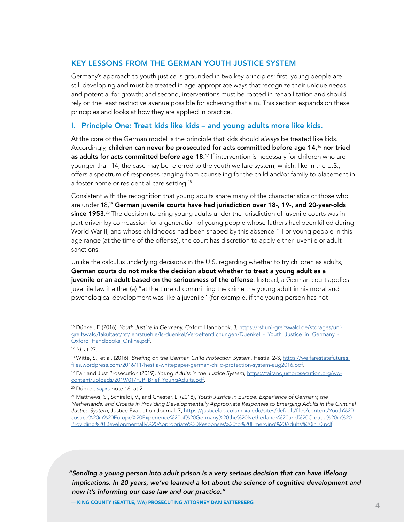### <span id="page-3-0"></span>KEY LESSONS FROM THE GERMAN YOUTH JUSTICE SYSTEM

Germany's approach to youth justice is grounded in two key principles: first, young people are still developing and must be treated in age-appropriate ways that recognize their unique needs and potential for growth; and second, interventions must be rooted in rehabilitation and should rely on the least restrictive avenue possible for achieving that aim. This section expands on these principles and looks at how they are applied in practice.

### I. Principle One: Treat kids like kids – and young adults more like kids.

At the core of the German model is the principle that kids should *always* be treated like kids. Accordingly, children can never be prosecuted for acts committed before age 14,<sup>16</sup> nor tried as adults for acts committed before age 18.<sup>17</sup> If intervention is necessary for children who are younger than 14, the case may be referred to the youth welfare system, which, like in the U.S., offers a spectrum of responses ranging from counseling for the child and/or family to placement in a foster home or residential care setting.<sup>18</sup>

Consistent with the recognition that young adults share many of the characteristics of those who are under  $18<sup>19</sup>$  German juvenile courts have had jurisdiction over 18-, 19-, and 20-year-olds **since 1953**. $^{20}$  The decision to bring young adults under the jurisdiction of juvenile courts was in part driven by compassion for a generation of young people whose fathers had been killed during World War II, and whose childhoods had been shaped by this absence.<sup>21</sup> For young people in this age range (at the time of the offense), the court has discretion to apply either juvenile or adult sanctions.

Unlike the calculus underlying decisions in the U.S. regarding whether to try children as adults, German courts do not make the decision about whether to treat a young adult as a juvenile or an adult based on the seriousness of the offense. Instead, a German court applies juvenile law if either (a) "at the time of committing the crime the young adult in his moral and psychological development was like a juvenile" (for example, if the young person has not

*"Sending a young person into adult prison is a very serious decision that can have lifelong implications. In 20 years, we've learned a lot about the science of cognitive development and now it's informing our case law and our practice."* 

<sup>16</sup> Dünkel, F. (2016), *Youth Justice in Germany*, Oxford Handbook, 3, [https://rsf.uni-greifswald.de/storages/uni](https://rsf.uni-greifswald.de/storages/uni-greifswald/fakultaet/rsf/lehrstuehle/ls-duenkel/Veroeffentlichungen/Duenkel_-_Youth_Justice_in_Germany_-_Oxford_Handbooks_Online.pdf)greifswald/fakultaet/rsf/lehrstuehle/ls-duenkel/Veroeffentlichungen/Duenkel - Youth Justice in Germany -Oxford Handbooks Online.pdf.

<sup>17</sup> *Id.* at 27.

<sup>&</sup>lt;sup>18</sup> Witte, S., et al. (2016), Briefing on the German Child Protection System, Hestia, 2-3, [https://welfarestatefutures.](https://welfarestatefutures.files.wordpress.com/2016/11/hestia-whitepaper-german-child-protection-system-aug2016.pdf) [files.wordpress.com/2016/11/hestia-whitepaper-german-child-protection-system-aug2016.pdf](https://welfarestatefutures.files.wordpress.com/2016/11/hestia-whitepaper-german-child-protection-system-aug2016.pdf).

<sup>19</sup> Fair and Just Prosecution (2019), *Young Adults in the Justice System*, [https://fairandjustprosecution.org/wp](https://fairandjustprosecution.org/wp-content/uploads/2019/01/FJP_Brief_YoungAdults.pdf)[content/uploads/2019/01/FJP\\_Brief\\_YoungAdults.pdf](https://fairandjustprosecution.org/wp-content/uploads/2019/01/FJP_Brief_YoungAdults.pdf).

<sup>20</sup> Dünkel, *supra* note 16, at 2.

<sup>21</sup> Matthews, S., Schiraldi, V., and Chester, L. (2018), *Youth Justice in Europe: Experience of Germany, the Netherlands, and Croatia in Providing Developmentally Appropriate Responses to Emerging Adults in the Criminal Justice System*, Justice Evaluation Journal, 7, [https://justicelab.columbia.edu/sites/default/files/content/Youth%20](https://justicelab.columbia.edu/sites/default/files/content/Youth%20Justice%20in%20Europe%20Experience%20of%20Germany%20the%20Netherlands%20and%20Croatia%20in%20Providing%20Developmentally%20Appropriate%20Responses%20to%20Emerging%20Adults%20in_0.pdf) [Justice%20in%20Europe%20Experience%20of%20Germany%20the%20Netherlands%20and%20Croatia%20in%20](https://justicelab.columbia.edu/sites/default/files/content/Youth%20Justice%20in%20Europe%20Experience%20of%20Germany%20the%20Netherlands%20and%20Croatia%20in%20Providing%20Developmentally%20Appropriate%20Responses%20to%20Emerging%20Adults%20in_0.pdf) [Providing%20Developmentally%20Appropriate%20Responses%20to%20Emerging%20Adults%20in\\_0.pdf.](https://justicelab.columbia.edu/sites/default/files/content/Youth%20Justice%20in%20Europe%20Experience%20of%20Germany%20the%20Netherlands%20and%20Croatia%20in%20Providing%20Developmentally%20Appropriate%20Responses%20to%20Emerging%20Adults%20in_0.pdf)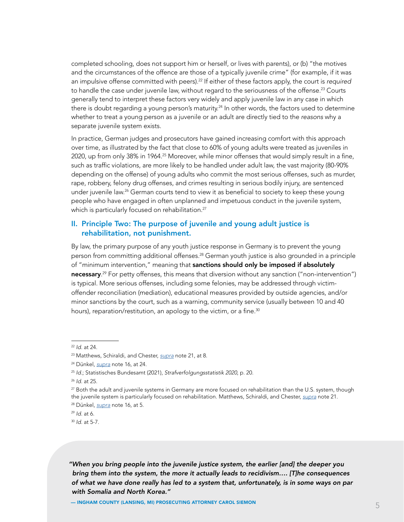completed schooling, does not support him or herself, or lives with parents), or (b) "the motives and the circumstances of the offence are those of a typically juvenile crime" (for example, if it was an impulsive offense committed with peers).22 If either of these factors apply, the court is *required* to handle the case under juvenile law, without regard to the seriousness of the offense.<sup>23</sup> Courts generally tend to interpret these factors very widely and apply juvenile law in any case in which there is doubt regarding a young person's maturity.<sup>24</sup> In other words, the factors used to determine whether to treat a young person as a juvenile or an adult are directly tied to the *reasons* why a separate juvenile system exists.

In practice, German judges and prosecutors have gained increasing comfort with this approach over time, as illustrated by the fact that close to 60% of young adults were treated as juveniles in 2020, up from only 38% in 1964.25 Moreover, while minor offenses that would simply result in a fine, such as traffic violations, are more likely to be handled under adult law, the vast majority (80-90% depending on the offense) of young adults who commit the most serious offenses, such as murder, rape, robbery, felony drug offenses, and crimes resulting in serious bodily injury, are sentenced under juvenile law.<sup>26</sup> German courts tend to view it as beneficial to society to keep these young people who have engaged in often unplanned and impetuous conduct in the juvenile system, which is particularly focused on rehabilitation.<sup>27</sup>

### II. Principle Two: The purpose of juvenile and young adult justice is rehabilitation, not punishment.

By law, the primary purpose of any youth justice response in Germany is to prevent the young person from committing additional offenses.<sup>28</sup> German youth justice is also grounded in a principle of "minimum intervention," meaning that sanctions should only be imposed if absolutely **necessary.**<sup>29</sup> For petty offenses, this means that diversion without any sanction ("non-intervention") is typical. More serious offenses, including some felonies, may be addressed through victimoffender reconciliation (mediation), educational measures provided by outside agencies, and/or minor sanctions by the court, such as a warning, community service (usually between 10 and 40 hours), reparation/restitution, an apology to the victim, or a fine.<sup>30</sup>

<sup>30</sup> *Id.* at 5-7.

*"When you bring people into the juvenile justice system, the earlier [and] the deeper you bring them into the system, the more it actually leads to recidivism…. [T]he consequences of what we have done really has led to a system that, unfortunately, is in some ways on par with Somalia and North Korea."* 

<sup>22</sup> *Id.* at 24.

<sup>23</sup> Matthews, Schiraldi, and Chester, *[supra](#page-3-0)* note 21, at 8.

<sup>24</sup> Dünkel, *[supra](#page-3-0)* note 16, at 24.

<sup>25</sup> *Id.*; Statistisches Bundesamt (2021), *Strafverfolgungsstatistik 2020*, p. 20.

<sup>26</sup> *Id.* at 25.

 $27$  Both the adult and juvenile systems in Germany are more focused on rehabilitation than the U.S. system, though the juvenile system is particularly focused on rehabilitation. Matthews, Schiraldi, and Chester, *[supra](#page-3-0)* note 21.

<sup>28</sup> Dünkel, *[supra](#page-3-0)* note 16, at 5.

<sup>29</sup> *Id.* at 6.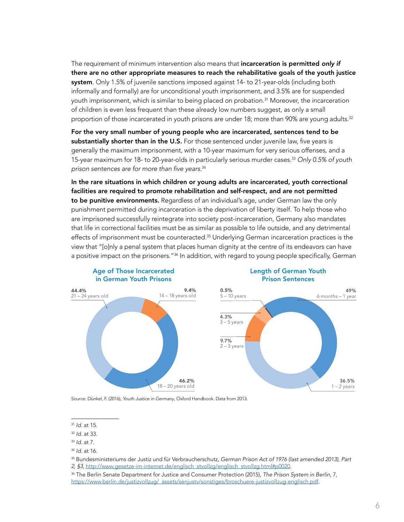<span id="page-5-0"></span>The requirement of minimum intervention also means that incarceration is permitted *only if*  there are no other appropriate measures to reach the rehabilitative goals of the youth justice system. Only 1.5% of juvenile sanctions imposed against 14- to 21-year-olds (including both informally and formally) are for unconditional youth imprisonment, and 3.5% are for suspended youth imprisonment, which is similar to being placed on probation.<sup>31</sup> Moreover, the incarceration of children is even less frequent than these already low numbers suggest, as only a small proportion of those incarcerated in youth prisons are under 18; more than 90% are young adults. $32$ 

For the very small number of young people who are incarcerated, sentences tend to be substantially shorter than in the U.S. For those sentenced under juvenile law, five years is generally the maximum imprisonment, with a 10-year maximum for very serious offenses, and a 15-year maximum for 18- to 20-year-olds in particularly serious murder cases.33 *Only 0.5% of youth*  prison sentences are for more than five years.<sup>34</sup>

In the rare situations in which children or young adults are incarcerated, youth correctional facilities are required to promote rehabilitation and self-respect, and are not permitted to be punitive environments. Regardless of an individual's age, under German law the only punishment permitted during incarceration is the deprivation of liberty itself. To help those who are imprisoned successfully reintegrate into society post-incarceration, Germany also mandates that life in correctional facilities must be as similar as possible to life outside, and any detrimental effects of imprisonment must be counteracted.<sup>35</sup> Underlying German incarceration practices is the view that "[o]nly a penal system that places human dignity at the centre of its endeavors can have a positive impact on the prisoners."<sup>36</sup> In addition, with regard to young people specifically, German



Age of Those Incarcerated in German Youth Prisons

#### Length of German Youth Prison Sentences

Source: Dünkel, F. (2016), *Youth Justice in Germany*, Oxford Handbook. Data from 2013.

35 Bundesministeriums der Justiz und für Verbraucherschutz, German Prison Act of 1976 (last amended 2013), Part 2, §3, [http://www.gesetze-im-internet.de/englisch\\_stvollzg/englisch\\_stvollzg.html#p0020.](http://www.gesetze-im-internet.de/englisch_stvollzg/englisch_stvollzg.html#p0020)

36 The Berlin Senate Department for Justice and Consumer Protection (2015), *The Prison System in Berlin*, 7, [https://www.berlin.de/justizvollzug/\\_assets/senjustv/sonstiges/broschuere-justizvollzug-englisch.pdf.](https://www.berlin.de/justizvollzug/_assets/senjustv/sonstiges/broschuere-justizvollzug-englisch.pdf)

<sup>31</sup> *Id.* at 15.

<sup>32</sup> *Id.* at 33.

<sup>33</sup> *Id.* at 7.

<sup>34</sup> *Id.* at 16.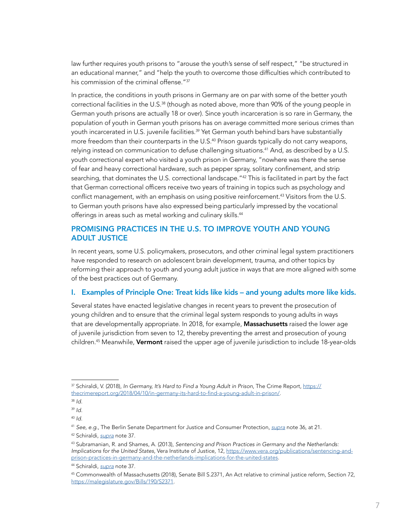law further requires youth prisons to "arouse the youth's sense of self respect," "be structured in an educational manner," and "help the youth to overcome those difficulties which contributed to his commission of the criminal offense."<sup>37</sup>

In practice, the conditions in youth prisons in Germany are on par with some of the better youth correctional facilities in the U.S.<sup>38</sup> (though as noted above, more than 90% of the young people in German youth prisons are actually 18 or over). Since youth incarceration is so rare in Germany, the population of youth in German youth prisons has on average committed more serious crimes than youth incarcerated in U.S. juvenile facilities.<sup>39</sup> Yet German youth behind bars have substantially more freedom than their counterparts in the U.S.<sup>40</sup> Prison guards typically do not carry weapons, relying instead on communication to defuse challenging situations.<sup>41</sup> And, as described by a U.S. youth correctional expert who visited a youth prison in Germany, "nowhere was there the sense of fear and heavy correctional hardware, such as pepper spray, solitary confinement, and strip searching, that dominates the U.S. correctional landscape."<sup>42</sup> This is facilitated in part by the fact that German correctional officers receive two years of training in topics such as psychology and conflict management, with an emphasis on using positive reinforcement.<sup>43</sup> Visitors from the U.S. to German youth prisons have also expressed being particularly impressed by the vocational offerings in areas such as metal working and culinary skills.<sup>44</sup>

### PROMISING PRACTICES IN THE U.S. TO IMPROVE YOUTH AND YOUNG ADULT JUSTICE

In recent years, some U.S. policymakers, prosecutors, and other criminal legal system practitioners have responded to research on adolescent brain development, trauma, and other topics by reforming their approach to youth and young adult justice in ways that are more aligned with some of the best practices out of Germany.

### I. Examples of Principle One: Treat kids like kids – and young adults more like kids.

Several states have enacted legislative changes in recent years to prevent the prosecution of young children and to ensure that the criminal legal system responds to young adults in ways that are developmentally appropriate. In 2018, for example, Massachusetts raised the lower age of juvenile jurisdiction from seven to 12, thereby preventing the arrest and prosecution of young children.<sup>45</sup> Meanwhile, Vermont raised the upper age of juvenile jurisdiction to include 18-year-olds

<sup>37</sup> Schiraldi, V. (2018), *In Germany, It's Hard to Find a Young Adult in Prison*, The Crime Report, [https://](https://thecrimereport.org/2018/04/10/in-germany-its-hard-to-find-a-young-adult-in-prison/) [thecrimereport.org/2018/04/10/in-germany-its-hard-to-find-a-young-adult-in-prison/](https://thecrimereport.org/2018/04/10/in-germany-its-hard-to-find-a-young-adult-in-prison/).

<sup>38</sup> *Id.*

<sup>39</sup> *Id.*

<sup>40</sup> *Id.*

<sup>41</sup> *See, e.g.*, The Berlin Senate Department for Justice and Consumer Protection, *[supra](#page-5-0)* note 36, at 21.

<sup>42</sup> Schiraldi, *supra* note 37.

<sup>43</sup> Subramanian, R. and Shames, A. (2013), *Sentencing and Prison Practices in Germany and the Netherlands: Implications for the United States*, Vera Institute of Justice, 12, [https://www.vera.org/publications/sentencing-and](https://www.vera.org/publications/sentencing-and-prison-practices-in-germany-and-the-netherlands-implications-for-the-united-states)[prison-practices-in-germany-and-the-netherlands-implications-for-the-united-states](https://www.vera.org/publications/sentencing-and-prison-practices-in-germany-and-the-netherlands-implications-for-the-united-states).

<sup>44</sup> Schiraldi, *supra* note 37.

<sup>&</sup>lt;sup>45</sup> Commonwealth of Massachusetts (2018), Senate Bill S.2371, An Act relative to criminal justice reform, Section 72, [https://malegislature.gov/Bills/190/S2371.](https://malegislature.gov/Bills/190/S2371)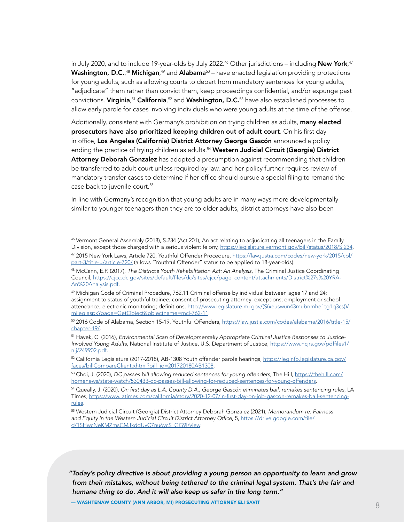<span id="page-7-0"></span>in July 2020, and to include 19-year-olds by July 2022. $^{46}$  Other jurisdictions – including  ${\hbox{New York}}^{, 47}$ **Washington, D.C.**,<sup>48</sup> **Michigan**,<sup>49</sup> and **Alabama**50 – have enacted legislation providing protections for young adults, such as allowing courts to depart from mandatory sentences for young adults, "adjudicate" them rather than convict them, keep proceedings confidential, and/or expunge past convictions. **Virginia**,<sup>51</sup> **California**,<sup>52</sup> and **Washington, D.C.**<sup>53</sup> have also established processes to allow early parole for cases involving individuals who were young adults at the time of the offense.

Additionally, consistent with Germany's prohibition on trying children as adults, many elected prosecutors have also prioritized keeping children out of adult court. On his first day in office, Los Angeles (California) District Attorney George Gascón announced a policy ending the practice of trying children as adults.<sup>54</sup> Western Judicial Circuit (Georgia) District Attorney Deborah Gonzalez has adopted a presumption against recommending that children be transferred to adult court unless required by law, and her policy further requires review of mandatory transfer cases to determine if her office should pursue a special filing to remand the case back to juvenile court.<sup>55</sup>

In line with Germany's recognition that young adults are in many ways more developmentally similar to younger teenagers than they are to older adults, district attorneys have also been

*"Today's policy directive is about providing a young person an opportunity to learn and grow from their mistakes, without being tethered to the criminal legal system. That's the fair and humane thing to do. And it will also keep us safer in the long term."* 

<sup>46</sup> Vermont General Assembly (2018), S.234 (Act 201), An act relating to adjudicating all teenagers in the Family Division, except those charged with a serious violent felony, <https://legislature.vermont.gov/bill/status/2018/S.234>. 47 2015 New York Laws, Article 720, Youthful Offender Procedure, [https://law.justia.com/codes/new-york/2015/cpl/](https://law.justia.com/codes/new-york/2015/cpl/part-3/title-u/article-720/)

[part-3/title-u/article-720/](https://law.justia.com/codes/new-york/2015/cpl/part-3/title-u/article-720/) (allows "Youthful Offender" status to be applied to 18-year-olds).

<sup>48</sup> McCann, E.P. (2017), *The District's Youth Rehabilitation Act: An Analysis*, The Criminal Justice Coordinating Council, [https://cjcc.dc.gov/sites/default/files/dc/sites/cjcc/page\\_content/attachments/District%27s%20YRA-](https://cjcc.dc.gov/sites/default/files/dc/sites/cjcc/page_content/attachments/District%27s%20YRA-An%20Analysis.pdf)[An%20Analysis.pdf.](https://cjcc.dc.gov/sites/default/files/dc/sites/cjcc/page_content/attachments/District%27s%20YRA-An%20Analysis.pdf)

<sup>49</sup> Michigan Code of Criminal Procedure, 762.11 Criminal offense by individual between ages 17 and 24; assignment to status of youthful trainee; consent of prosecuting attorney; exceptions; employment or school attendance; electronic monitoring; definitions, [http://www.legislature.mi.gov/\(S\(xeuswun43mubnmhe1tg1q3cs\)\)/](http://www.legislature.mi.gov/(S(xeuswun43mubnmhe1tg1q3cs))/mileg.aspx?page=GetObject&objectname=mcl-762-11) [mileg.aspx?page=GetObject&objectname=mcl-762-11.](http://www.legislature.mi.gov/(S(xeuswun43mubnmhe1tg1q3cs))/mileg.aspx?page=GetObject&objectname=mcl-762-11)

<sup>50 2016</sup> Code of Alabama, Section 15-19, Youthful Offenders, [https://law.justia.com/codes/alabama/2016/title-15/](https://law.justia.com/codes/alabama/2016/title-15/chapter-19/) [chapter-19/](https://law.justia.com/codes/alabama/2016/title-15/chapter-19/).

<sup>51</sup> Hayek, C. (2016), *Environmental Scan of Developmentally Appropriate Criminal Justice Responses to Justice-Involved Young Adults*, National Institute of Justice, U.S. Department of Justice, [https://www.ncjrs.gov/pdffiles1/](https://www.ncjrs.gov/pdffiles1/nij/249902.pdf) [nij/249902.pdf.](https://www.ncjrs.gov/pdffiles1/nij/249902.pdf)

<sup>52</sup> California Legislature (2017-2018), AB-1308 Youth offender parole hearings, [https://leginfo.legislature.ca.gov/](https://leginfo.legislature.ca.gov/faces/billCompareClient.xhtml?bill_id=201720180AB1308) [faces/billCompareClient.xhtml?bill\\_id=201720180AB1308.](https://leginfo.legislature.ca.gov/faces/billCompareClient.xhtml?bill_id=201720180AB1308)

<sup>53</sup> Choi, J. (2020), *DC passes bill allowing reduced sentences for young offenders*, The Hill, [https://thehill.com/](https://thehill.com/homenews/state-watch/530433-dc-passes-bill-allowing-for-reduced-sentences-for-young-offenders) [homenews/state-watch/530433-dc-passes-bill-allowing-for-reduced-sentences-for-young-offenders.](https://thehill.com/homenews/state-watch/530433-dc-passes-bill-allowing-for-reduced-sentences-for-young-offenders)

<sup>54</sup> Queally, J. (2020), On first day as L.A. County D.A., George Gascón eliminates bail, remakes sentencing rules, LA Times, [https://www.latimes.com/california/story/2020-12-07/in-first-day-on-job-gascon-remakes-bail-sentencing](https://www.latimes.com/california/story/2020-12-07/in-first-day-on-job-gascon-remakes-bail-sentencing-rules)[rules.](https://www.latimes.com/california/story/2020-12-07/in-first-day-on-job-gascon-remakes-bail-sentencing-rules)

<sup>55</sup> Western Judicial Circuit (Georgia) District Attorney Deborah Gonzalez (2021), *Memorandum re: Fairness*  and Equity in the Western Judicial Circuit District Attorney Office, 5, [https://drive.google.com/file/](https://drive.google.com/file/d/1SHwcNeKMZmsCMJkddUvC7nu6ycS_GG9l/view) [d/1SHwcNeKMZmsCMJkddUvC7nu6ycS\\_GG9l/view.](https://drive.google.com/file/d/1SHwcNeKMZmsCMJkddUvC7nu6ycS_GG9l/view)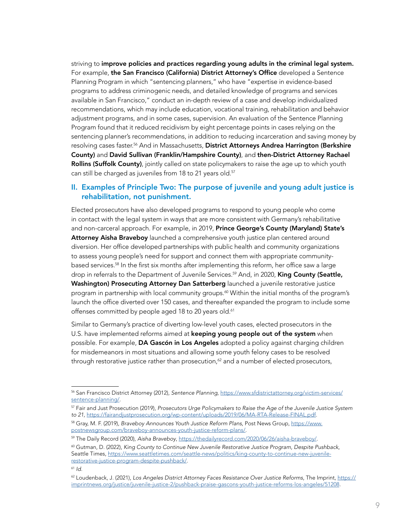<span id="page-8-0"></span>striving to improve policies and practices regarding young adults in the criminal legal system. For example, the San Francisco (California) District Attorney's Office developed a Sentence Planning Program in which "sentencing planners," who have "expertise in evidence-based programs to address criminogenic needs, and detailed knowledge of programs and services available in San Francisco," conduct an in-depth review of a case and develop individualized recommendations, which may include education, vocational training, rehabilitation and behavior adjustment programs, and in some cases, supervision. An evaluation of the Sentence Planning Program found that it reduced recidivism by eight percentage points in cases relying on the sentencing planner's recommendations, in addition to reducing incarceration and saving money by resolving cases faster.<sup>56</sup> And in Massachusetts, District Attorneys Andrea Harrington (Berkshire County) and David Sullivan (Franklin/Hampshire County), and then-District Attorney Rachael Rollins (Suffolk County), jointly called on state policymakers to raise the age up to which youth can still be charged as juveniles from 18 to 21 years old.<sup>57</sup>

### II. Examples of Principle Two: The purpose of juvenile and young adult justice is rehabilitation, not punishment.

Elected prosecutors have also developed programs to respond to young people who come in contact with the legal system in ways that are more consistent with Germany's rehabilitative and non-carceral approach. For example, in 2019, Prince George's County (Maryland) State's Attorney Aisha Braveboy launched a comprehensive youth justice plan centered around diversion. Her office developed partnerships with public health and community organizations to assess young people's need for support and connect them with appropriate communitybased services.58 In the first six months after implementing this reform, her office saw a large drop in referrals to the Department of Juvenile Services.<sup>59</sup> And, in 2020, King County (Seattle, Washington) Prosecuting Attorney Dan Satterberg launched a juvenile restorative justice program in partnership with local community groups.<sup>60</sup> Within the initial months of the program's launch the office diverted over 150 cases, and thereafter expanded the program to include some offenses committed by people aged 18 to 20 years old.<sup>61</sup>

Similar to Germany's practice of diverting low-level youth cases, elected prosecutors in the U.S. have implemented reforms aimed at keeping young people out of the system when possible. For example, DA Gascón in Los Angeles adopted a policy against charging children for misdemeanors in most situations and allowing some youth felony cases to be resolved through restorative justice rather than prosecution, $62$  and a number of elected prosecutors,

<sup>56</sup> San Francisco District Attorney (2012), *Sentence Planning*, [https://www.sfdistrictattorney.org/victim-services/](https://www.sfdistrictattorney.org/victim-services/sentence-planning/) [sentence-planning/](https://www.sfdistrictattorney.org/victim-services/sentence-planning/).

<sup>57</sup> Fair and Just Prosecution (2019), *Prosecutors Urge Policymakers to Raise the Age of the Juvenile Justice System*  to 21, [https://fairandjustprosecution.org/wp-content/uploads/2019/06/MA-RTA-Release-FINAL.pdf.](https://fairandjustprosecution.org/wp-content/uploads/2019/06/MA-RTA-Release-FINAL.pdf)

<sup>58</sup> Gray, M. F. (2019), *Braveboy Announces Youth Justice Reform Plans*, Post News Group, [https://www.](https://www.postnewsgroup.com/braveboy-announces-youth-justice-reform-plans/) [postnewsgroup.com/braveboy-announces-youth-justice-reform-plans/](https://www.postnewsgroup.com/braveboy-announces-youth-justice-reform-plans/).

<sup>59</sup> The Daily Record (2020), *Aisha Braveboy*,<https://thedailyrecord.com/2020/06/26/aisha-braveboy/>.

<sup>60</sup> Gutman, D. (2022), *King County to Continue New Juvenile Restorative Justice Program, Despite Pushback*, Seattle Times, [https://www.seattletimes.com/seattle-news/politics/king-county-to-continue-new-juvenile](https://www.seattletimes.com/seattle-news/politics/king-county-to-continue-new-juvenile-restorative-justice-program-despite-pushback/)[restorative-justice-program-despite-pushback/](https://www.seattletimes.com/seattle-news/politics/king-county-to-continue-new-juvenile-restorative-justice-program-despite-pushback/).

<sup>61</sup> *Id.*

<sup>62</sup> Loudenback, J. (2021), *Los Angeles District Attorney Faces Resistance Over Justice Reforms*, The Imprint, [https://](https://imprintnews.org/justice/juvenile-justice-2/pushback-praise-gascons-youth-justice-reforms-los-angeles/51208) [imprintnews.org/justice/juvenile-justice-2/pushback-praise-gascons-youth-justice-reforms-los-angeles/51208.](https://imprintnews.org/justice/juvenile-justice-2/pushback-praise-gascons-youth-justice-reforms-los-angeles/51208)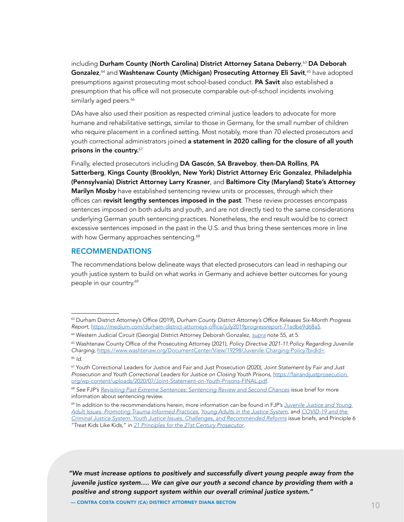<span id="page-9-0"></span>including Durham County (North Carolina) District Attorney Satana Deberry, <sup>63</sup> DA Deborah Gonzalez,<sup>64</sup> and Washtenaw County (Michigan) Prosecuting Attorney Eli Savit,<sup>65</sup> have adopted presumptions against prosecuting most school-based conduct. **PA Savit** also established a presumption that his office will not prosecute comparable out-of-school incidents involving similarly aged peers.<sup>66</sup>

DAs have also used their position as respected criminal justice leaders to advocate for more humane and rehabilitative settings, similar to those in Germany, for the small number of children who require placement in a confined setting. Most notably, more than 70 elected prosecutors and youth correctional administrators joined a statement in 2020 calling for the closure of all youth prisons in the country. $67$ 

Finally, elected prosecutors including DA Gascón, SA Braveboy, then-DA Rollins, PA Satterberg, Kings County (Brooklyn, New York) District Attorney Eric Gonzalez, Philadelphia (Pennsylvania) District Attorney Larry Krasner, and Baltimore City (Maryland) State's Attorney Marilyn Mosby have established sentencing review units or processes, through which their offices can revisit lengthy sentences imposed in the past. These review processes encompass sentences imposed on both adults and youth, and are not directly tied to the same considerations underlying German youth sentencing practices. Nonetheless, the end result would be to correct excessive sentences imposed in the past in the U.S. and thus bring these sentences more in line with how Germany approaches sentencing.<sup>68</sup>

### RECOMMENDATIONS

The recommendations below delineate ways that elected prosecutors can lead in reshaping our youth justice system to build on what works in Germany and achieve better outcomes for young people in our country.<sup>69</sup>

*"We must increase options to positively and successfully divert young people away from the juvenile justice system…. We can give our youth a second chance by providing them with a positive and strong support system within our overall criminal justice system."*

<sup>&</sup>lt;sup>63</sup> Durham District Attorney's Office (2019), Durham County District Attorney's Office Releases Six-Month Progress *Report*, <https://medium.com/durham-district-attorneys-office/july2019progressreport-71adbe9d68a5>.

<sup>64</sup> Western Judicial Circuit (Georgia) District Attorney Deborah Gonzalez, *[supra](#page-7-0)* note 55, at 5.

<sup>&</sup>lt;sup>65</sup> Washtenaw County Office of the Prosecuting Attorney (2021), Policy Directive 2021-11:Policy Regarding Juvenile *Charging*, https://www.washtenaw.org/DocumentCenter/View/19298/Juvenile-Charging-Policy?bidId[=.](https://www.washtenaw.org/DocumentCenter/View/19298/Juvenile-Charging-Policy?bidId=) <sup>66</sup> *Id.*

<sup>67</sup> Youth Correctional Leaders for Justice and Fair and Just Prosecution (2020), *Joint Statement by Fair and Just Prosecution and Youth Correctional Leaders for Justice on Closing Youth Prisons*, [https://fairandjustprosecution.](https://fairandjustprosecution.org/wp-content/uploads/2020/07/Joint-Statement-on-Youth-Prisons-FINAL.pdf) [org/wp-content/uploads/2020/07/Joint-Statement-on-Youth-Prisons-FINAL.pdf](https://fairandjustprosecution.org/wp-content/uploads/2020/07/Joint-Statement-on-Youth-Prisons-FINAL.pdf).

<sup>68</sup> *See* FJP's *[Revisiting Past Extreme Sentences: Sentencing Review and Second Chances](https://fairandjustprosecution.org/wp-content/uploads/2020/02/FJP_Issue-Brief_SentencingReview.pdf)* issue brief for more information about sentencing review.

<sup>69</sup> In addition to the recommendations herein, more information can be found in FJP's *[Juvenile Justice and Young](https://fairandjustprosecution.org/wp-content/uploads/2017/09/FJPBrief.TraumaPractices.9.25.pdf)  [Adult Issues: Promoting Trauma-Informed Practices](https://fairandjustprosecution.org/wp-content/uploads/2017/09/FJPBrief.TraumaPractices.9.25.pdf)*, *[Young Adults in the Justice System](https://fairandjustprosecution.org/wp-content/uploads/2019/01/FJP_Brief_YoungAdults.pdf)*, and [COVID-19 and the](https://fairandjustprosecution.org/wp-content/uploads/2020/08/FJP_Brief_Covid_YouthJustice.pdf)  *[Criminal Justice System: Youth Justice Issues, Challenges, and Recommended Reforms](https://fairandjustprosecution.org/wp-content/uploads/2020/08/FJP_Brief_Covid_YouthJustice.pdf)* issue briefs, and Principle 6 "Treat Kids Like Kids," in [21 Principles for the 21st Century Prosecutor](https://www.brennancenter.org/sites/default/files/publications/FJP_21Principles_FINAL.pdf).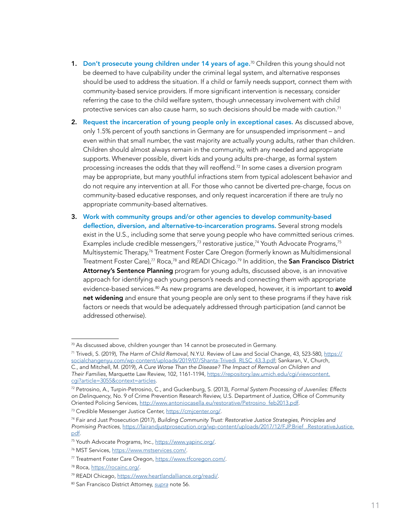- 1. Don't prosecute young children under 14 years of age.<sup>70</sup> Children this young should not be deemed to have culpability under the criminal legal system, and alternative responses should be used to address the situation. If a child or family needs support, connect them with community-based service providers. If more significant intervention is necessary, consider referring the case to the child welfare system, though unnecessary involvement with child protective services can also cause harm, so such decisions should be made with caution.<sup>71</sup>
- 2. Request the incarceration of young people only in exceptional cases. As discussed above, only 1.5% percent of youth sanctions in Germany are for unsuspended imprisonment – and even within that small number, the vast majority are actually young adults, rather than children. Children should almost always remain in the community, with any needed and appropriate supports. Whenever possible, divert kids and young adults pre-charge, as formal system processing increases the odds that they will reoffend.<sup>72</sup> In some cases a diversion program may be appropriate, but many youthful infractions stem from typical adolescent behavior and do not require any intervention at all. For those who cannot be diverted pre-charge, focus on community-based educative responses, and only request incarceration if there are truly no appropriate community-based alternatives.
- 3. Work with community groups and/or other agencies to develop community-based deflection, diversion, and alternative-to-incarceration programs. Several strong models exist in the U.S., including some that serve young people who have committed serious crimes. Examples include credible messengers,<sup>73</sup> restorative justice,<sup>74</sup> Youth Advocate Programs,<sup>75</sup> Multisystemic Therapy,<sup>76</sup> Treatment Foster Care Oregon (formerly known as Multidimensional Treatment Foster Care),<sup>77</sup> Roca,<sup>78</sup> and READI Chicago.<sup>79</sup> In addition, the San Francisco District Attorney's Sentence Planning program for young adults, discussed above, is an innovative approach for identifying each young person's needs and connecting them with appropriate evidence-based services.<sup>80</sup> As new programs are developed, however, it is important to **avoid** net widening and ensure that young people are only sent to these programs if they have risk factors or needs that would be adequately addressed through participation (and cannot be addressed otherwise).

<sup>&</sup>lt;sup>70</sup> As discussed above, children younger than 14 cannot be prosecuted in Germany.

<sup>71</sup> Trivedi, S. (2019), *The Harm of Child Removal*, N.Y.U. Review of Law and Social Change, 43, 523-580, [https://](https://socialchangenyu.com/wp-content/uploads/2019/07/Shanta-Trivedi_RLSC_43.3.pdf) [socialchangenyu.com/wp-content/uploads/2019/07/Shanta-Trivedi\\_RLSC\\_43.3.pdf](https://socialchangenyu.com/wp-content/uploads/2019/07/Shanta-Trivedi_RLSC_43.3.pdf); Sankaran, V., Church, C., and Mitchell, M. (2019), *A Cure Worse Than the Disease? The Impact of Removal on Children and Their Families*, Marquette Law Review, 102, 1161-1194, [https://repository.law.umich.edu/cgi/viewcontent.](https://repository.law.umich.edu/cgi/viewcontent.cgi?article=3055&context=articles) [cgi?article=3055&context=articles](https://repository.law.umich.edu/cgi/viewcontent.cgi?article=3055&context=articles).

<sup>72</sup> Petrosino, A., Turpin-Petrosino, C., and Guckenburg, S. (2013), *Formal System Processing of Juveniles: Effects on Delinquency*, No. 9 of Crime Prevention Research Review, U.S. Department of Justice, Office of Community Oriented Policing Services, [http://www.antoniocasella.eu/restorative/Petrosino\\_feb2013.pdf](http://www.antoniocasella.eu/restorative/Petrosino_feb2013.pdf).

<sup>73</sup> Credible Messenger Justice Center, <https://cmjcenter.org/>.

<sup>74</sup> Fair and Just Prosecution (2017), *Building Community Trust: Restorative Justice Strategies, Principles and Promising Practices*, [https://fairandjustprosecution.org/wp-content/uploads/2017/12/FJP.Brief\\_.RestorativeJustice.](https://fairandjustprosecution.org/wp-content/uploads/2017/12/FJP.Brief_.RestorativeJustice.pdf) [pdf.](https://fairandjustprosecution.org/wp-content/uploads/2017/12/FJP.Brief_.RestorativeJustice.pdf)

<sup>75</sup> Youth Advocate Programs, Inc.,<https://www.yapinc.org/>.

<sup>76</sup> MST Services, <https://www.mstservices.com/>.

<sup>77</sup> Treatment Foster Care Oregon, [https://www.tfcoregon.com/.](https://www.tfcoregon.com/)

<sup>78</sup> Roca,<https://rocainc.org/>.

<sup>79</sup> READI Chicago, <https://www.heartlandalliance.org/readi/>.

<sup>80</sup> San Francisco District Attorney, *[supra](#page-8-0)* note 56.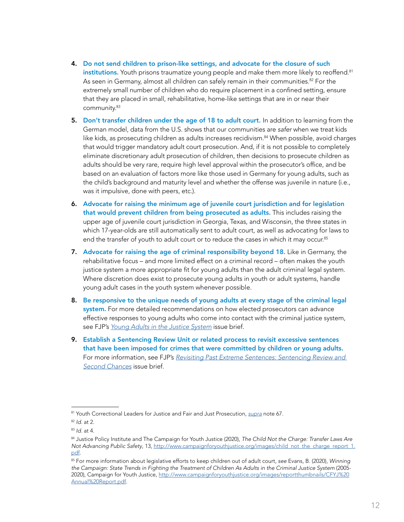- 4. Do not send children to prison-like settings, and advocate for the closure of such institutions. Youth prisons traumatize young people and make them more likely to reoffend.<sup>81</sup> As seen in Germany, almost all children can safely remain in their communities.<sup>82</sup> For the extremely small number of children who do require placement in a confined setting, ensure that they are placed in small, rehabilitative, home-like settings that are in or near their community.83
- 5. Don't transfer children under the age of 18 to adult court. In addition to learning from the German model, data from the U.S. shows that our communities are *safer* when we treat kids like kids, as prosecuting children as adults increases recidivism.<sup>84</sup> When possible, avoid charges that would trigger mandatory adult court prosecution. And, if it is not possible to completely eliminate discretionary adult prosecution of children, then decisions to prosecute children as adults should be very rare, require high level approval within the prosecutor's office, and be based on an evaluation of factors more like those used in Germany for young adults, such as the child's background and maturity level and whether the offense was juvenile in nature (i.e., was it impulsive, done with peers, etc.).
- 6. Advocate for raising the minimum age of juvenile court jurisdiction and for legislation that would prevent children from being prosecuted as adults. This includes raising the upper age of juvenile court jurisdiction in Georgia, Texas, and Wisconsin, the three states in which 17-year-olds are still automatically sent to adult court, as well as advocating for laws to end the transfer of youth to adult court or to reduce the cases in which it may occur.<sup>85</sup>
- 7. Advocate for raising the age of criminal responsibility beyond 18. Like in Germany, the rehabilitative focus – and more limited effect on a criminal record – often makes the youth justice system a more appropriate fit for young adults than the adult criminal legal system. Where discretion does exist to prosecute young adults in youth or adult systems, handle young adult cases in the youth system whenever possible.
- 8. Be responsive to the unique needs of young adults at every stage of the criminal legal system. For more detailed recommendations on how elected prosecutors can advance effective responses to young adults who come into contact with the criminal justice system, see FJP's *[Young Adults in the Justice System](https://fairandjustprosecution.org/wp-content/uploads/2019/01/FJP_Brief_YoungAdults.pdf)* issue brief.
- 9. Establish a Sentencing Review Unit or related process to revisit excessive sentences that have been imposed for crimes that were committed by children or young adults. For more information, see FJP's *[Revisiting Past Extreme Sentences: Sentencing Review and](https://fairandjustprosecution.org/wp-content/uploads/2020/02/FJP_Issue-Brief_SentencingReview.pdf)  [Second Chances](https://fairandjustprosecution.org/wp-content/uploads/2020/02/FJP_Issue-Brief_SentencingReview.pdf)* issue brief.

<sup>81</sup> Youth Correctional Leaders for Justice and Fair and Just Prosecution, *[supra](#page-9-0)* note 67.

<sup>82</sup> *Id.* at 2.

<sup>83</sup> *Id.* at 4.

<sup>84</sup> Justice Policy Institute and The Campaign for Youth Justice (2020), *The Child Not the Charge: Transfer Laws Are Not Advancing Public Safety*, 13, [http://www.campaignforyouthjustice.org/images/child\\_not\\_the\\_charge\\_report\\_1.](http://www.campaignforyouthjustice.org/images/child_not_the_charge_report_1.pdf) [pdf.](http://www.campaignforyouthjustice.org/images/child_not_the_charge_report_1.pdf)

<sup>85</sup> For more information about legislative efforts to keep children out of adult court, *see* Evans, B. (2020), *Winning the Campaign: State Trends in Fighting the Treatment of Children As Adults in the Criminal Justice System* (2005- 2020), Campaign for Youth Justice, [http://www.campaignforyouthjustice.org/images/reportthumbnails/CFYJ%20](http://www.campaignforyouthjustice.org/images/reportthumbnails/CFYJ%20Annual%20Report.pdf) [Annual%20Report.pdf](http://www.campaignforyouthjustice.org/images/reportthumbnails/CFYJ%20Annual%20Report.pdf).